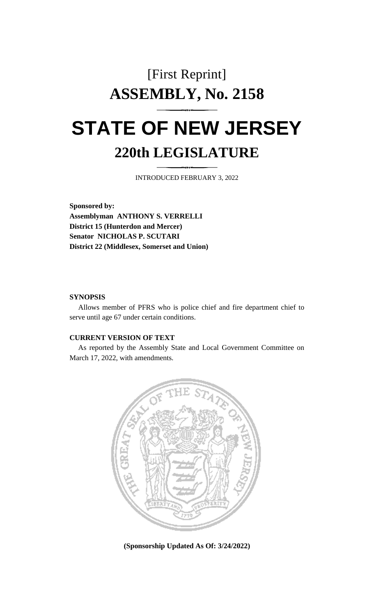## [First Reprint] **ASSEMBLY, No. 2158 STATE OF NEW JERSEY 220th LEGISLATURE**

INTRODUCED FEBRUARY 3, 2022

**Sponsored by: Assemblyman ANTHONY S. VERRELLI District 15 (Hunterdon and Mercer) Senator NICHOLAS P. SCUTARI District 22 (Middlesex, Somerset and Union)**

## **SYNOPSIS**

Allows member of PFRS who is police chief and fire department chief to serve until age 67 under certain conditions.

## **CURRENT VERSION OF TEXT**

As reported by the Assembly State and Local Government Committee on March 17, 2022, with amendments.



**(Sponsorship Updated As Of: 3/24/2022)**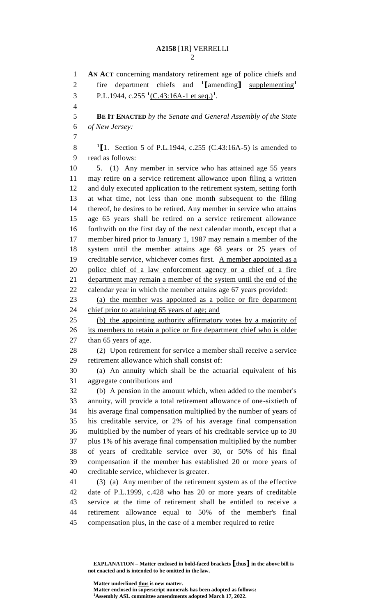**AN ACT** concerning mandatory retirement age of police chiefs and fire department chiefs and **<sup>1</sup> [**amending**]** supplementing**<sup>1</sup>** 3 P.L.1944, c.255<sup>1</sup>(C.43:16A-1 et seq.)<sup>1</sup>. **BE IT ENACTED** *by the Senate and General Assembly of the State of New Jersey:* **[**1. Section 5 of P.L.1944, c.255 (C.43:16A-5) is amended to read as follows: 5. (1) Any member in service who has attained age 55 years may retire on a service retirement allowance upon filing a written and duly executed application to the retirement system, setting forth at what time, not less than one month subsequent to the filing thereof, he desires to be retired. Any member in service who attains age 65 years shall be retired on a service retirement allowance forthwith on the first day of the next calendar month, except that a member hired prior to January 1, 1987 may remain a member of the system until the member attains age 68 years or 25 years of 19 creditable service, whichever comes first.  $\Delta$  member appointed as a police chief of a law enforcement agency or a chief of a fire department may remain a member of the system until the end of the 22 calendar year in which the member attains age 67 years provided: (a) the member was appointed as a police or fire department 24 chief prior to attaining 65 years of age; and (b) the appointing authority affirmatory votes by a majority of 26 its members to retain a police or fire department chief who is older 27 than 65 years of age. (2) Upon retirement for service a member shall receive a service retirement allowance which shall consist of: (a) An annuity which shall be the actuarial equivalent of his aggregate contributions and (b) A pension in the amount which, when added to the member's annuity, will provide a total retirement allowance of one-sixtieth of his average final compensation multiplied by the number of years of his creditable service, or 2% of his average final compensation multiplied by the number of years of his creditable service up to 30 plus 1% of his average final compensation multiplied by the number of years of creditable service over 30, or 50% of his final compensation if the member has established 20 or more years of creditable service, whichever is greater. (3) (a) Any member of the retirement system as of the effective date of P.L.1999, c.428 who has 20 or more years of creditable service at the time of retirement shall be entitled to receive a retirement allowance equal to 50% of the member's final compensation plus, in the case of a member required to retire

**EXPLANATION – Matter enclosed in bold-faced brackets [thus] in the above bill is not enacted and is intended to be omitted in the law.**

**Matter underlined thus is new matter.**

**Matter enclosed in superscript numerals has been adopted as follows: Assembly ASL committee amendments adopted March 17, 2022.**